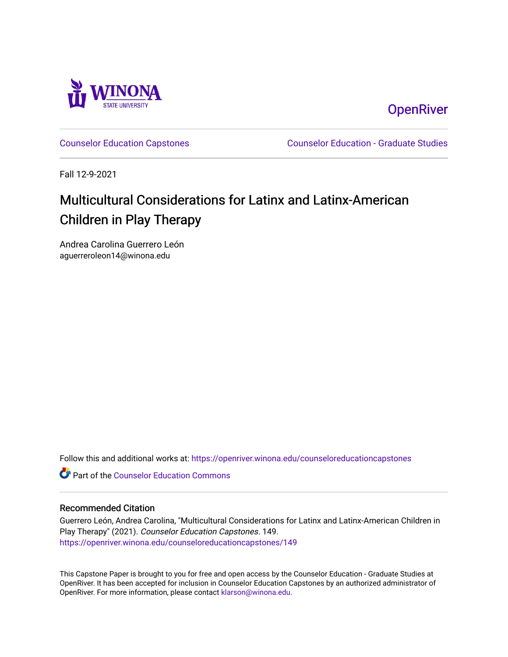

**OpenRiver** 

[Counselor Education Capstones](https://openriver.winona.edu/counseloreducationcapstones) [Counselor Education - Graduate Studies](https://openriver.winona.edu/counseloreducation) 

Fall 12-9-2021

# Multicultural Considerations for Latinx and Latinx-American Children in Play Therapy

Andrea Carolina Guerrero León aguerreroleon14@winona.edu

Follow this and additional works at: [https://openriver.winona.edu/counseloreducationcapstones](https://openriver.winona.edu/counseloreducationcapstones?utm_source=openriver.winona.edu%2Fcounseloreducationcapstones%2F149&utm_medium=PDF&utm_campaign=PDFCoverPages)

**C** Part of the Counselor Education Commons

# Recommended Citation

Guerrero León, Andrea Carolina, "Multicultural Considerations for Latinx and Latinx-American Children in Play Therapy" (2021). Counselor Education Capstones. 149. [https://openriver.winona.edu/counseloreducationcapstones/149](https://openriver.winona.edu/counseloreducationcapstones/149?utm_source=openriver.winona.edu%2Fcounseloreducationcapstones%2F149&utm_medium=PDF&utm_campaign=PDFCoverPages)

This Capstone Paper is brought to you for free and open access by the Counselor Education - Graduate Studies at OpenRiver. It has been accepted for inclusion in Counselor Education Capstones by an authorized administrator of OpenRiver. For more information, please contact [klarson@winona.edu](mailto:klarson@winona.edu).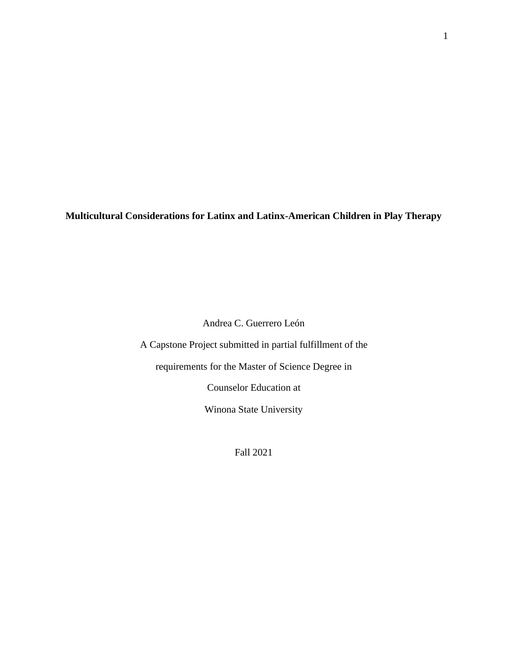**Multicultural Considerations for Latinx and Latinx-American Children in Play Therapy**

Andrea C. Guerrero León

A Capstone Project submitted in partial fulfillment of the

requirements for the Master of Science Degree in

Counselor Education at

Winona State University

Fall 2021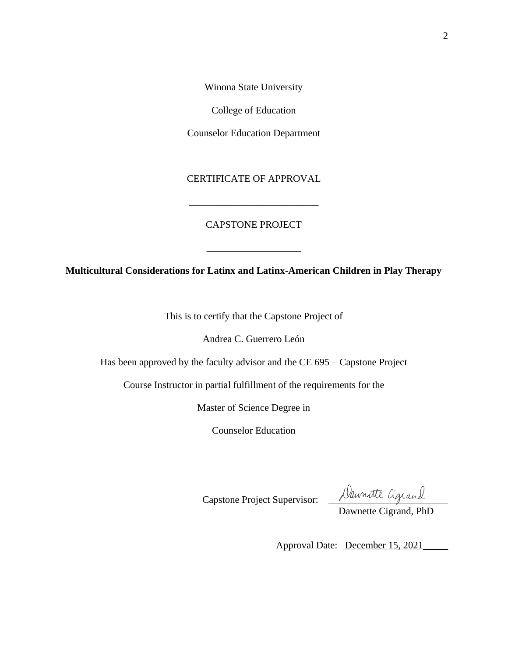Winona State University

College of Education

Counselor Education Department

CERTIFICATE OF APPROVAL

\_\_\_\_\_\_\_\_\_\_\_\_\_\_\_\_\_\_\_\_\_\_\_\_\_\_

# CAPSTONE PROJECT

**Multicultural Considerations for Latinx and Latinx-American Children in Play Therapy**

\_\_\_\_\_\_\_\_\_\_\_\_\_\_\_\_\_\_\_

This is to certify that the Capstone Project of

Andrea C. Guerrero León

Has been approved by the faculty advisor and the CE 695 – Capstone Project

Course Instructor in partial fulfillment of the requirements for the

Master of Science Degree in

Counselor Education

Capstone Project Supervisor: <u>Naunatte</u> Ligrand

Dawnette Cigrand, PhD

Approval Date: December 15, 2021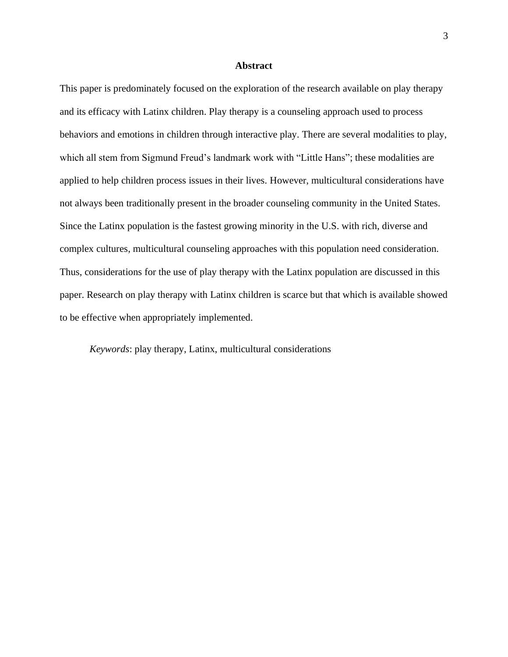# **Abstract**

This paper is predominately focused on the exploration of the research available on play therapy and its efficacy with Latinx children. Play therapy is a counseling approach used to process behaviors and emotions in children through interactive play. There are several modalities to play, which all stem from Sigmund Freud's landmark work with "Little Hans"; these modalities are applied to help children process issues in their lives. However, multicultural considerations have not always been traditionally present in the broader counseling community in the United States. Since the Latinx population is the fastest growing minority in the U.S. with rich, diverse and complex cultures, multicultural counseling approaches with this population need consideration. Thus, considerations for the use of play therapy with the Latinx population are discussed in this paper. Research on play therapy with Latinx children is scarce but that which is available showed to be effective when appropriately implemented.

*Keywords*: play therapy, Latinx, multicultural considerations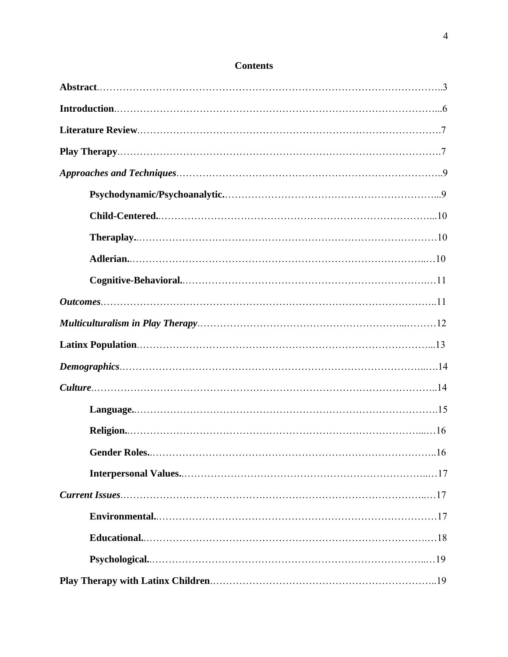| <b>Gender Roles.</b> | $\dots 16$ |
|----------------------|------------|
|                      |            |
|                      |            |
|                      |            |
|                      |            |
|                      |            |
|                      |            |

# **Contents**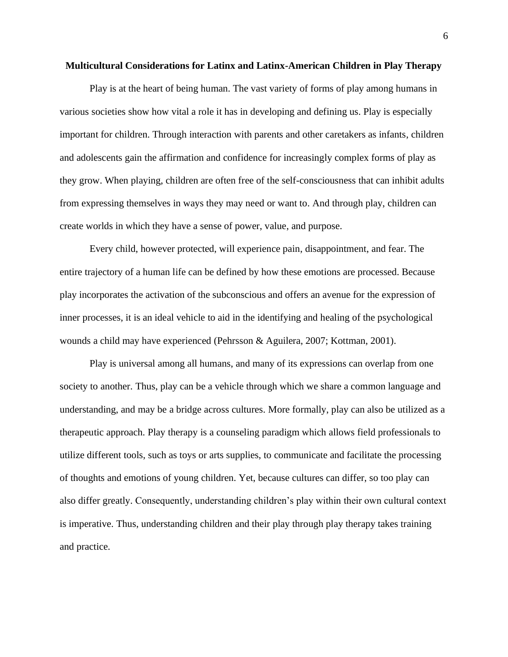#### **Multicultural Considerations for Latinx and Latinx-American Children in Play Therapy**

Play is at the heart of being human. The vast variety of forms of play among humans in various societies show how vital a role it has in developing and defining us. Play is especially important for children. Through interaction with parents and other caretakers as infants, children and adolescents gain the affirmation and confidence for increasingly complex forms of play as they grow. When playing, children are often free of the self-consciousness that can inhibit adults from expressing themselves in ways they may need or want to. And through play, children can create worlds in which they have a sense of power, value, and purpose.

Every child, however protected, will experience pain, disappointment, and fear. The entire trajectory of a human life can be defined by how these emotions are processed. Because play incorporates the activation of the subconscious and offers an avenue for the expression of inner processes, it is an ideal vehicle to aid in the identifying and healing of the psychological wounds a child may have experienced (Pehrsson & Aguilera, 2007; Kottman, 2001).

Play is universal among all humans, and many of its expressions can overlap from one society to another. Thus, play can be a vehicle through which we share a common language and understanding, and may be a bridge across cultures. More formally, play can also be utilized as a therapeutic approach. Play therapy is a counseling paradigm which allows field professionals to utilize different tools, such as toys or arts supplies, to communicate and facilitate the processing of thoughts and emotions of young children. Yet, because cultures can differ, so too play can also differ greatly. Consequently, understanding children's play within their own cultural context is imperative. Thus, understanding children and their play through play therapy takes training and practice.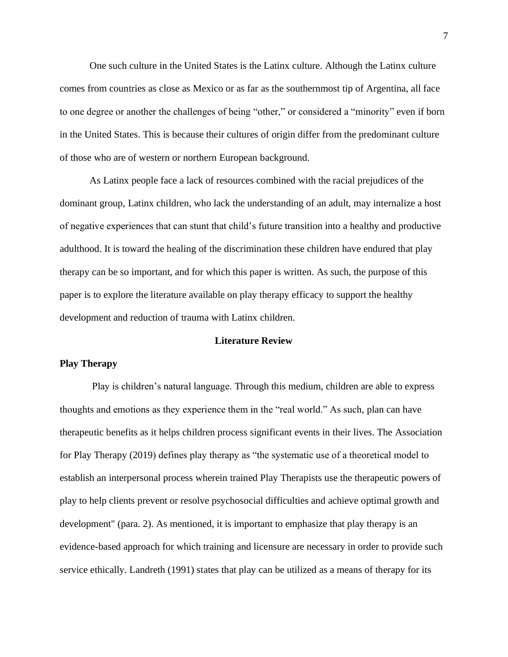One such culture in the United States is the Latinx culture. Although the Latinx culture comes from countries as close as Mexico or as far as the southernmost tip of Argentina, all face to one degree or another the challenges of being "other," or considered a "minority" even if born in the United States. This is because their cultures of origin differ from the predominant culture of those who are of western or northern European background.

As Latinx people face a lack of resources combined with the racial prejudices of the dominant group, Latinx children, who lack the understanding of an adult, may internalize a host of negative experiences that can stunt that child's future transition into a healthy and productive adulthood. It is toward the healing of the discrimination these children have endured that play therapy can be so important, and for which this paper is written. As such, the purpose of this paper is to explore the literature available on play therapy efficacy to support the healthy development and reduction of trauma with Latinx children.

#### **Literature Review**

# **Play Therapy**

Play is children's natural language. Through this medium, children are able to express thoughts and emotions as they experience them in the "real world." As such, plan can have therapeutic benefits as it helps children process significant events in their lives. The Association for Play Therapy (2019) defines play therapy as "the systematic use of a theoretical model to establish an interpersonal process wherein trained Play Therapists use the therapeutic powers of play to help clients prevent or resolve psychosocial difficulties and achieve optimal growth and development" (para. 2). As mentioned, it is important to emphasize that play therapy is an evidence-based approach for which training and licensure are necessary in order to provide such service ethically. Landreth (1991) states that play can be utilized as a means of therapy for its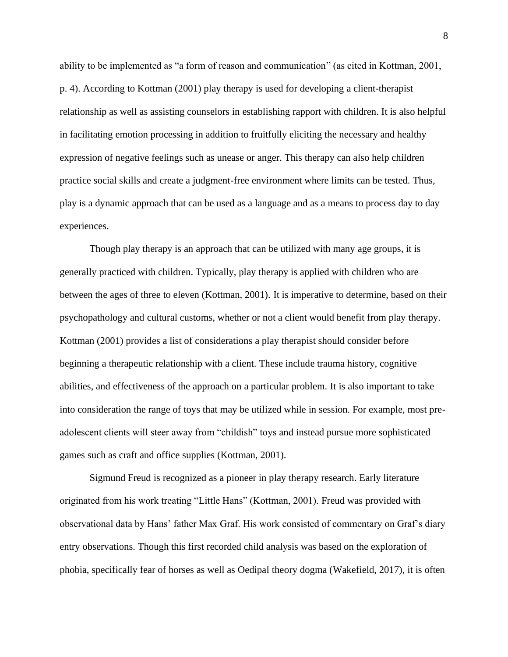ability to be implemented as "a form of reason and communication" (as cited in Kottman, 2001, p. 4). According to Kottman (2001) play therapy is used for developing a client-therapist relationship as well as assisting counselors in establishing rapport with children. It is also helpful in facilitating emotion processing in addition to fruitfully eliciting the necessary and healthy expression of negative feelings such as unease or anger. This therapy can also help children practice social skills and create a judgment-free environment where limits can be tested. Thus, play is a dynamic approach that can be used as a language and as a means to process day to day experiences.

Though play therapy is an approach that can be utilized with many age groups, it is generally practiced with children. Typically, play therapy is applied with children who are between the ages of three to eleven (Kottman, 2001). It is imperative to determine, based on their psychopathology and cultural customs, whether or not a client would benefit from play therapy. Kottman (2001) provides a list of considerations a play therapist should consider before beginning a therapeutic relationship with a client. These include trauma history, cognitive abilities, and effectiveness of the approach on a particular problem. It is also important to take into consideration the range of toys that may be utilized while in session. For example, most preadolescent clients will steer away from "childish" toys and instead pursue more sophisticated games such as craft and office supplies (Kottman, 2001).

Sigmund Freud is recognized as a pioneer in play therapy research. Early literature originated from his work treating "Little Hans" (Kottman, 2001). Freud was provided with observational data by Hans' father Max Graf. His work consisted of commentary on Graf's diary entry observations. Though this first recorded child analysis was based on the exploration of phobia, specifically fear of horses as well as Oedipal theory dogma (Wakefield, 2017), it is often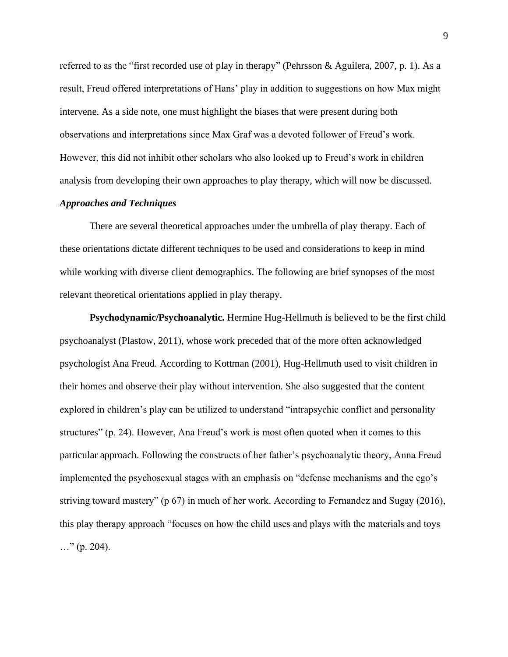referred to as the "first recorded use of play in therapy" (Pehrsson & Aguilera, 2007, p. 1). As a result, Freud offered interpretations of Hans' play in addition to suggestions on how Max might intervene. As a side note, one must highlight the biases that were present during both observations and interpretations since Max Graf was a devoted follower of Freud's work. However, this did not inhibit other scholars who also looked up to Freud's work in children analysis from developing their own approaches to play therapy, which will now be discussed.

# *Approaches and Techniques*

There are several theoretical approaches under the umbrella of play therapy. Each of these orientations dictate different techniques to be used and considerations to keep in mind while working with diverse client demographics. The following are brief synopses of the most relevant theoretical orientations applied in play therapy.

**Psychodynamic/Psychoanalytic.** Hermine Hug-Hellmuth is believed to be the first child psychoanalyst (Plastow, 2011), whose work preceded that of the more often acknowledged psychologist Ana Freud. According to Kottman (2001), Hug-Hellmuth used to visit children in their homes and observe their play without intervention. She also suggested that the content explored in children's play can be utilized to understand "intrapsychic conflict and personality structures" (p. 24). However, Ana Freud's work is most often quoted when it comes to this particular approach. Following the constructs of her father's psychoanalytic theory, Anna Freud implemented the psychosexual stages with an emphasis on "defense mechanisms and the ego's striving toward mastery" (p 67) in much of her work. According to Fernandez and Sugay (2016), this play therapy approach "focuses on how the child uses and plays with the materials and toys  $\ldots$ " (p. 204).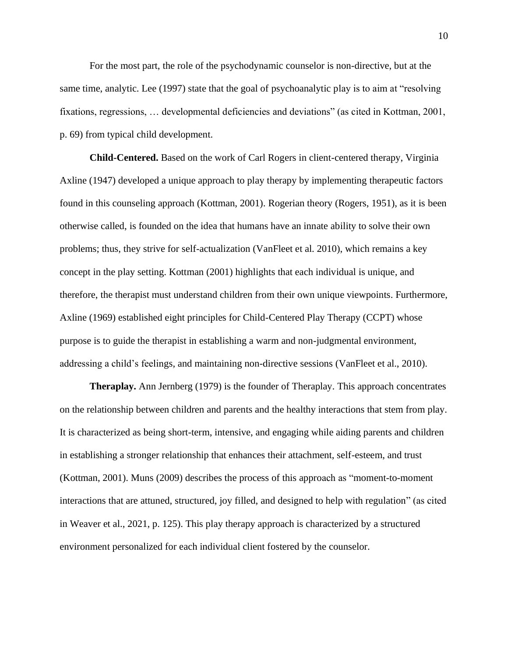For the most part, the role of the psychodynamic counselor is non-directive, but at the same time, analytic. Lee (1997) state that the goal of psychoanalytic play is to aim at "resolving fixations, regressions, … developmental deficiencies and deviations" (as cited in Kottman, 2001, p. 69) from typical child development.

**Child-Centered.** Based on the work of Carl Rogers in client-centered therapy, Virginia Axline (1947) developed a unique approach to play therapy by implementing therapeutic factors found in this counseling approach (Kottman, 2001). Rogerian theory (Rogers, 1951), as it is been otherwise called, is founded on the idea that humans have an innate ability to solve their own problems; thus, they strive for self-actualization (VanFleet et al. 2010), which remains a key concept in the play setting. Kottman (2001) highlights that each individual is unique, and therefore, the therapist must understand children from their own unique viewpoints. Furthermore, Axline (1969) established eight principles for Child-Centered Play Therapy (CCPT) whose purpose is to guide the therapist in establishing a warm and non-judgmental environment, addressing a child's feelings, and maintaining non-directive sessions (VanFleet et al., 2010).

**Theraplay.** Ann Jernberg (1979) is the founder of Theraplay. This approach concentrates on the relationship between children and parents and the healthy interactions that stem from play. It is characterized as being short-term, intensive, and engaging while aiding parents and children in establishing a stronger relationship that enhances their attachment, self-esteem, and trust (Kottman, 2001). Muns (2009) describes the process of this approach as "moment-to-moment interactions that are attuned, structured, joy filled, and designed to help with regulation" (as cited in Weaver et al., 2021, p. 125). This play therapy approach is characterized by a structured environment personalized for each individual client fostered by the counselor.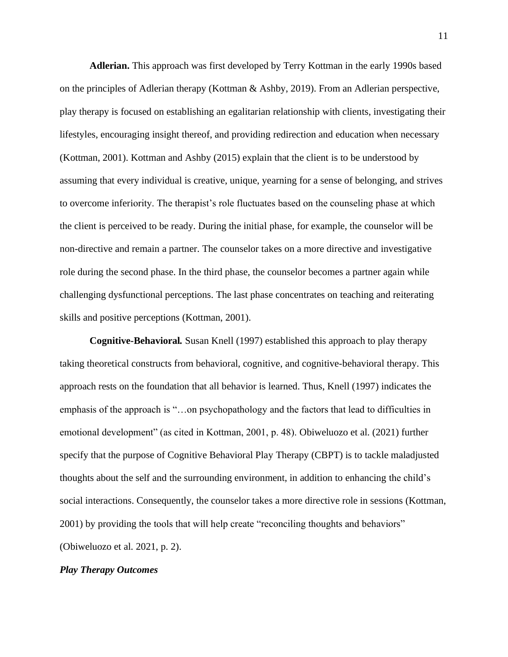**Adlerian.** This approach was first developed by Terry Kottman in the early 1990s based on the principles of Adlerian therapy (Kottman & Ashby, 2019). From an Adlerian perspective, play therapy is focused on establishing an egalitarian relationship with clients, investigating their lifestyles, encouraging insight thereof, and providing redirection and education when necessary (Kottman, 2001). Kottman and Ashby (2015) explain that the client is to be understood by assuming that every individual is creative, unique, yearning for a sense of belonging, and strives to overcome inferiority. The therapist's role fluctuates based on the counseling phase at which the client is perceived to be ready. During the initial phase, for example, the counselor will be non-directive and remain a partner. The counselor takes on a more directive and investigative role during the second phase. In the third phase, the counselor becomes a partner again while challenging dysfunctional perceptions. The last phase concentrates on teaching and reiterating skills and positive perceptions (Kottman, 2001).

**Cognitive-Behavioral***.* Susan Knell (1997) established this approach to play therapy taking theoretical constructs from behavioral, cognitive, and cognitive-behavioral therapy. This approach rests on the foundation that all behavior is learned. Thus, Knell (1997) indicates the emphasis of the approach is "…on psychopathology and the factors that lead to difficulties in emotional development" (as cited in Kottman, 2001, p. 48). Obiweluozo et al. (2021) further specify that the purpose of Cognitive Behavioral Play Therapy (CBPT) is to tackle maladjusted thoughts about the self and the surrounding environment, in addition to enhancing the child's social interactions. Consequently, the counselor takes a more directive role in sessions (Kottman, 2001) by providing the tools that will help create "reconciling thoughts and behaviors" (Obiweluozo et al. 2021, p. 2).

# *Play Therapy Outcomes*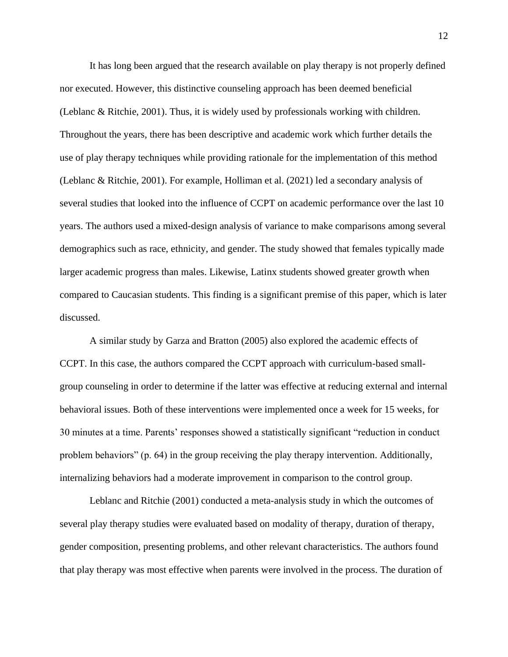It has long been argued that the research available on play therapy is not properly defined nor executed. However, this distinctive counseling approach has been deemed beneficial (Leblanc & Ritchie, 2001). Thus, it is widely used by professionals working with children. Throughout the years, there has been descriptive and academic work which further details the use of play therapy techniques while providing rationale for the implementation of this method (Leblanc & Ritchie, 2001). For example, Holliman et al. (2021) led a secondary analysis of several studies that looked into the influence of CCPT on academic performance over the last 10 years. The authors used a mixed-design analysis of variance to make comparisons among several demographics such as race, ethnicity, and gender. The study showed that females typically made larger academic progress than males. Likewise, Latinx students showed greater growth when compared to Caucasian students. This finding is a significant premise of this paper, which is later discussed.

A similar study by Garza and Bratton (2005) also explored the academic effects of CCPT. In this case, the authors compared the CCPT approach with curriculum-based smallgroup counseling in order to determine if the latter was effective at reducing external and internal behavioral issues. Both of these interventions were implemented once a week for 15 weeks, for 30 minutes at a time. Parents' responses showed a statistically significant "reduction in conduct problem behaviors" (p. 64) in the group receiving the play therapy intervention. Additionally, internalizing behaviors had a moderate improvement in comparison to the control group.

Leblanc and Ritchie (2001) conducted a meta-analysis study in which the outcomes of several play therapy studies were evaluated based on modality of therapy, duration of therapy, gender composition, presenting problems, and other relevant characteristics. The authors found that play therapy was most effective when parents were involved in the process. The duration of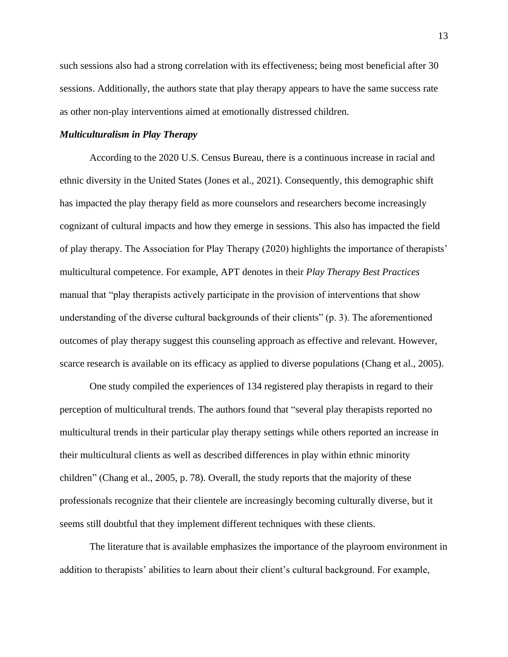such sessions also had a strong correlation with its effectiveness; being most beneficial after 30 sessions. Additionally, the authors state that play therapy appears to have the same success rate as other non-play interventions aimed at emotionally distressed children.

# *Multiculturalism in Play Therapy*

According to the 2020 U.S. Census Bureau, there is a continuous increase in racial and ethnic diversity in the United States (Jones et al., 2021). Consequently, this demographic shift has impacted the play therapy field as more counselors and researchers become increasingly cognizant of cultural impacts and how they emerge in sessions. This also has impacted the field of play therapy. The Association for Play Therapy (2020) highlights the importance of therapists' multicultural competence. For example, APT denotes in their *Play Therapy Best Practices*  manual that "play therapists actively participate in the provision of interventions that show understanding of the diverse cultural backgrounds of their clients" (p. 3). The aforementioned outcomes of play therapy suggest this counseling approach as effective and relevant. However, scarce research is available on its efficacy as applied to diverse populations (Chang et al., 2005).

One study compiled the experiences of 134 registered play therapists in regard to their perception of multicultural trends. The authors found that "several play therapists reported no multicultural trends in their particular play therapy settings while others reported an increase in their multicultural clients as well as described differences in play within ethnic minority children" (Chang et al., 2005, p. 78). Overall, the study reports that the majority of these professionals recognize that their clientele are increasingly becoming culturally diverse, but it seems still doubtful that they implement different techniques with these clients.

The literature that is available emphasizes the importance of the playroom environment in addition to therapists' abilities to learn about their client's cultural background. For example,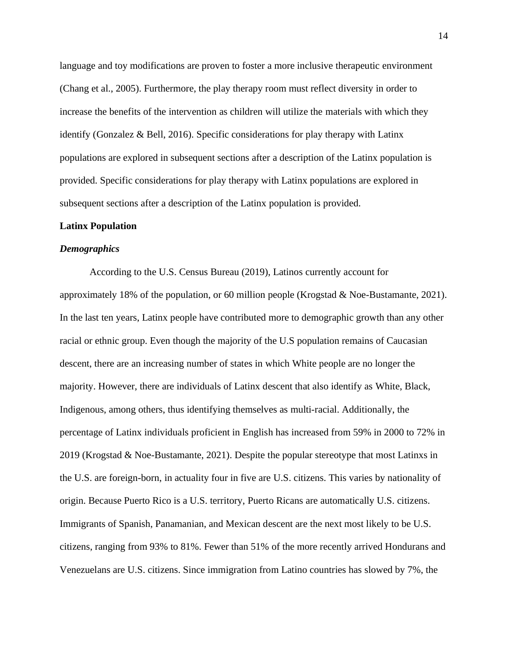language and toy modifications are proven to foster a more inclusive therapeutic environment (Chang et al., 2005). Furthermore, the play therapy room must reflect diversity in order to increase the benefits of the intervention as children will utilize the materials with which they identify (Gonzalez & Bell, 2016). Specific considerations for play therapy with Latinx populations are explored in subsequent sections after a description of the Latinx population is provided. Specific considerations for play therapy with Latinx populations are explored in subsequent sections after a description of the Latinx population is provided.

# **Latinx Population**

#### *Demographics*

According to the U.S. Census Bureau (2019), Latinos currently account for approximately 18% of the population, or 60 million people (Krogstad & Noe-Bustamante, 2021). In the last ten years, Latinx people have contributed more to demographic growth than any other racial or ethnic group. Even though the majority of the U.S population remains of Caucasian descent, there are an increasing number of states in which White people are no longer the majority. However, there are individuals of Latinx descent that also identify as White, Black, Indigenous, among others, thus identifying themselves as multi-racial. Additionally, the percentage of Latinx individuals proficient in English has increased from 59% in 2000 to 72% in 2019 (Krogstad & Noe-Bustamante, 2021). Despite the popular stereotype that most Latinxs in the U.S. are foreign-born, in actuality four in five are U.S. citizens. This varies by nationality of origin. Because Puerto Rico is a U.S. territory, Puerto Ricans are automatically U.S. citizens. Immigrants of Spanish, Panamanian, and Mexican descent are the next most likely to be U.S. citizens, ranging from 93% to 81%. Fewer than 51% of the more recently arrived Hondurans and Venezuelans are U.S. citizens. Since immigration from Latino countries has slowed by 7%, the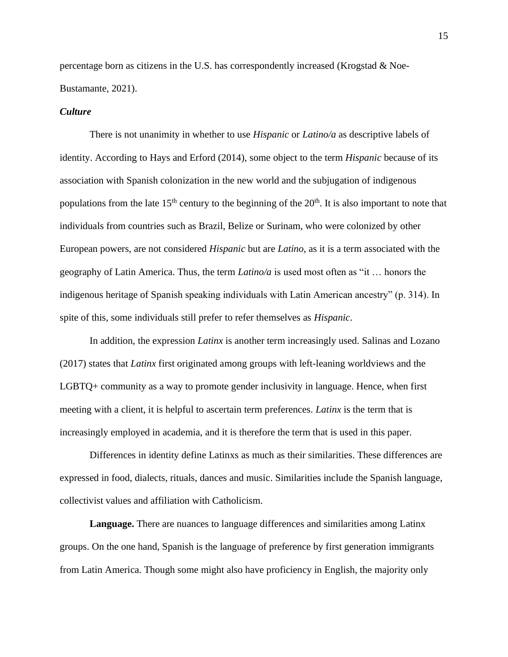percentage born as citizens in the U.S. has correspondently increased (Krogstad  $\&$  Noe-Bustamante, 2021).

# *Culture*

There is not unanimity in whether to use *Hispanic* or *Latino/a* as descriptive labels of identity. According to Hays and Erford (2014), some object to the term *Hispanic* because of its association with Spanish colonization in the new world and the subjugation of indigenous populations from the late  $15<sup>th</sup>$  century to the beginning of the  $20<sup>th</sup>$ . It is also important to note that individuals from countries such as Brazil, Belize or Surinam, who were colonized by other European powers, are not considered *Hispanic* but are *Latino*, as it is a term associated with the geography of Latin America. Thus, the term *Latino/a* is used most often as "it … honors the indigenous heritage of Spanish speaking individuals with Latin American ancestry" (p. 314). In spite of this, some individuals still prefer to refer themselves as *Hispanic*.

In addition, the expression *Latinx* is another term increasingly used. Salinas and Lozano (2017) states that *Latinx* first originated among groups with left-leaning worldviews and the LGBTQ+ community as a way to promote gender inclusivity in language. Hence, when first meeting with a client, it is helpful to ascertain term preferences. *Latinx* is the term that is increasingly employed in academia, and it is therefore the term that is used in this paper.

Differences in identity define Latinxs as much as their similarities. These differences are expressed in food, dialects, rituals, dances and music. Similarities include the Spanish language, collectivist values and affiliation with Catholicism.

**Language.** There are nuances to language differences and similarities among Latinx groups. On the one hand, Spanish is the language of preference by first generation immigrants from Latin America. Though some might also have proficiency in English, the majority only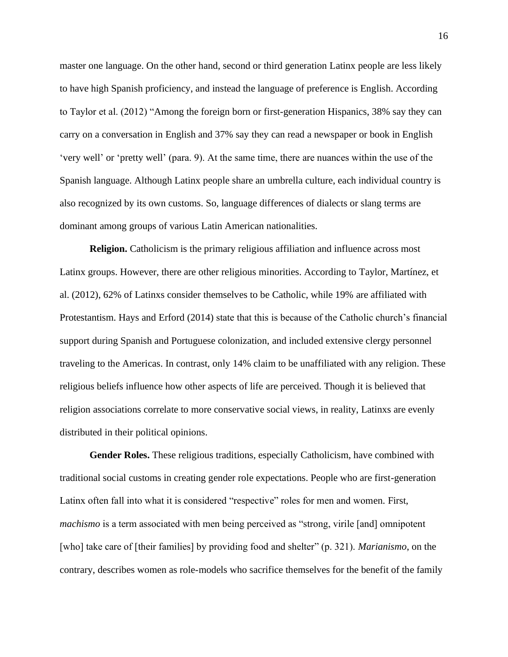master one language. On the other hand, second or third generation Latinx people are less likely to have high Spanish proficiency, and instead the language of preference is English. According to Taylor et al. (2012) "Among the foreign born or first-generation Hispanics, 38% say they can carry on a conversation in English and 37% say they can read a newspaper or book in English 'very well' or 'pretty well' (para. 9). At the same time, there are nuances within the use of the Spanish language. Although Latinx people share an umbrella culture, each individual country is also recognized by its own customs. So, language differences of dialects or slang terms are dominant among groups of various Latin American nationalities.

**Religion.** Catholicism is the primary religious affiliation and influence across most Latinx groups. However, there are other religious minorities. According to Taylor, Martínez, et al. (2012), 62% of Latinxs consider themselves to be Catholic, while 19% are affiliated with Protestantism. Hays and Erford (2014) state that this is because of the Catholic church's financial support during Spanish and Portuguese colonization, and included extensive clergy personnel traveling to the Americas. In contrast, only 14% claim to be unaffiliated with any religion. These religious beliefs influence how other aspects of life are perceived. Though it is believed that religion associations correlate to more conservative social views, in reality, Latinxs are evenly distributed in their political opinions.

**Gender Roles.** These religious traditions, especially Catholicism, have combined with traditional social customs in creating gender role expectations. People who are first-generation Latinx often fall into what it is considered "respective" roles for men and women. First, *machismo* is a term associated with men being perceived as "strong, virile [and] omnipotent [who] take care of [their families] by providing food and shelter" (p. 321). *Marianismo*, on the contrary, describes women as role-models who sacrifice themselves for the benefit of the family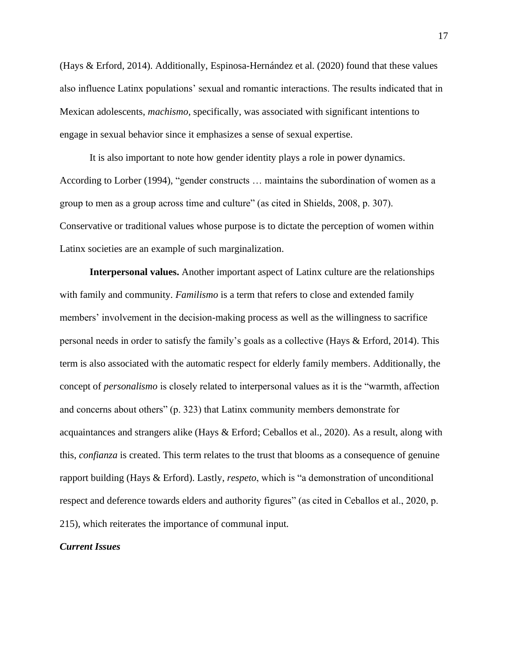(Hays & Erford, 2014). Additionally, Espinosa-Hernández et al. (2020) found that these values also influence Latinx populations' sexual and romantic interactions. The results indicated that in Mexican adolescents, *machismo,* specifically, was associated with significant intentions to engage in sexual behavior since it emphasizes a sense of sexual expertise.

It is also important to note how gender identity plays a role in power dynamics. According to Lorber (1994), "gender constructs … maintains the subordination of women as a group to men as a group across time and culture" (as cited in Shields, 2008, p. 307). Conservative or traditional values whose purpose is to dictate the perception of women within Latinx societies are an example of such marginalization.

**Interpersonal values.** Another important aspect of Latinx culture are the relationships with family and community. *Familismo* is a term that refers to close and extended family members' involvement in the decision-making process as well as the willingness to sacrifice personal needs in order to satisfy the family's goals as a collective (Hays & Erford, 2014). This term is also associated with the automatic respect for elderly family members. Additionally, the concept of *personalismo* is closely related to interpersonal values as it is the "warmth, affection and concerns about others" (p. 323) that Latinx community members demonstrate for acquaintances and strangers alike (Hays & Erford; Ceballos et al., 2020). As a result, along with this, *confianza* is created. This term relates to the trust that blooms as a consequence of genuine rapport building (Hays & Erford). Lastly, *respeto*, which is "a demonstration of unconditional respect and deference towards elders and authority figures" (as cited in Ceballos et al., 2020, p. 215), which reiterates the importance of communal input.

# *Current Issues*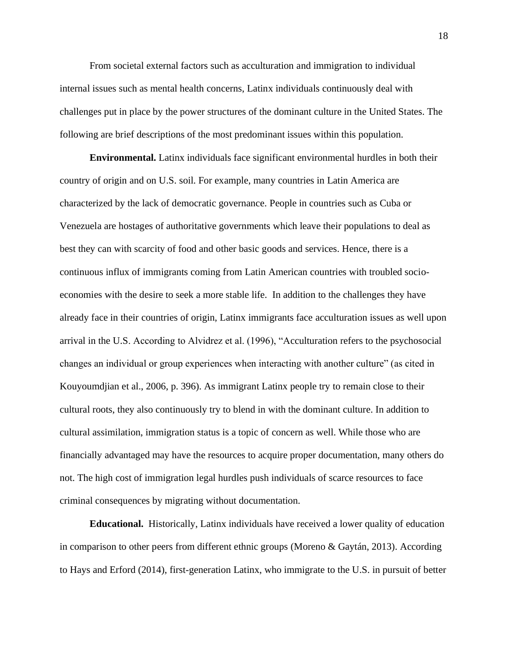From societal external factors such as acculturation and immigration to individual internal issues such as mental health concerns, Latinx individuals continuously deal with challenges put in place by the power structures of the dominant culture in the United States. The following are brief descriptions of the most predominant issues within this population.

**Environmental.** Latinx individuals face significant environmental hurdles in both their country of origin and on U.S. soil. For example, many countries in Latin America are characterized by the lack of democratic governance. People in countries such as Cuba or Venezuela are hostages of authoritative governments which leave their populations to deal as best they can with scarcity of food and other basic goods and services. Hence, there is a continuous influx of immigrants coming from Latin American countries with troubled socioeconomies with the desire to seek a more stable life. In addition to the challenges they have already face in their countries of origin, Latinx immigrants face acculturation issues as well upon arrival in the U.S. According to Alvidrez et al. (1996), "Acculturation refers to the psychosocial changes an individual or group experiences when interacting with another culture" (as cited in Kouyoumdjian et al., 2006, p. 396). As immigrant Latinx people try to remain close to their cultural roots, they also continuously try to blend in with the dominant culture. In addition to cultural assimilation, immigration status is a topic of concern as well. While those who are financially advantaged may have the resources to acquire proper documentation, many others do not. The high cost of immigration legal hurdles push individuals of scarce resources to face criminal consequences by migrating without documentation.

**Educational.** Historically, Latinx individuals have received a lower quality of education in comparison to other peers from different ethnic groups (Moreno & Gaytán, 2013). According to Hays and Erford (2014), first-generation Latinx, who immigrate to the U.S. in pursuit of better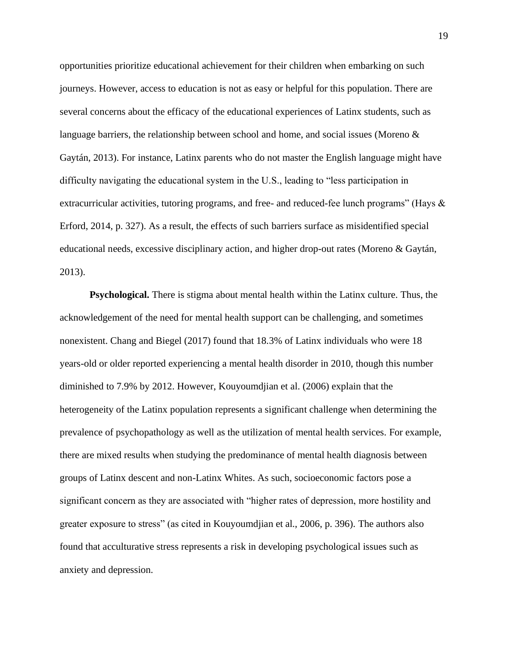opportunities prioritize educational achievement for their children when embarking on such journeys. However, access to education is not as easy or helpful for this population. There are several concerns about the efficacy of the educational experiences of Latinx students, such as language barriers, the relationship between school and home, and social issues (Moreno  $\&$ Gaytán, 2013). For instance, Latinx parents who do not master the English language might have difficulty navigating the educational system in the U.S., leading to "less participation in extracurricular activities, tutoring programs, and free- and reduced-fee lunch programs" (Hays & Erford, 2014, p. 327). As a result, the effects of such barriers surface as misidentified special educational needs, excessive disciplinary action, and higher drop-out rates (Moreno & Gaytán, 2013).

**Psychological.** There is stigma about mental health within the Latinx culture. Thus, the acknowledgement of the need for mental health support can be challenging, and sometimes nonexistent. Chang and Biegel (2017) found that 18.3% of Latinx individuals who were 18 years-old or older reported experiencing a mental health disorder in 2010, though this number diminished to 7.9% by 2012. However, Kouyoumdjian et al. (2006) explain that the heterogeneity of the Latinx population represents a significant challenge when determining the prevalence of psychopathology as well as the utilization of mental health services. For example, there are mixed results when studying the predominance of mental health diagnosis between groups of Latinx descent and non-Latinx Whites. As such, socioeconomic factors pose a significant concern as they are associated with "higher rates of depression, more hostility and greater exposure to stress" (as cited in Kouyoumdjian et al., 2006, p. 396). The authors also found that acculturative stress represents a risk in developing psychological issues such as anxiety and depression.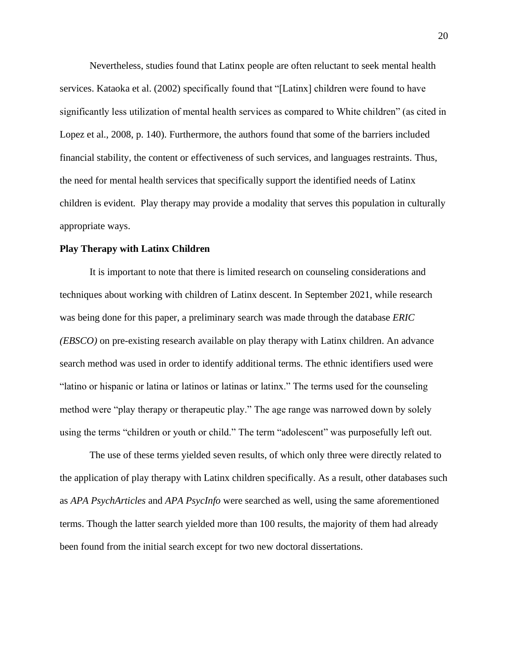Nevertheless, studies found that Latinx people are often reluctant to seek mental health services. Kataoka et al. (2002) specifically found that "[Latinx] children were found to have significantly less utilization of mental health services as compared to White children" (as cited in Lopez et al., 2008, p. 140). Furthermore, the authors found that some of the barriers included financial stability, the content or effectiveness of such services, and languages restraints. Thus, the need for mental health services that specifically support the identified needs of Latinx children is evident. Play therapy may provide a modality that serves this population in culturally appropriate ways.

# **Play Therapy with Latinx Children**

It is important to note that there is limited research on counseling considerations and techniques about working with children of Latinx descent. In September 2021, while research was being done for this paper, a preliminary search was made through the database *ERIC (EBSCO)* on pre-existing research available on play therapy with Latinx children. An advance search method was used in order to identify additional terms. The ethnic identifiers used were "latino or hispanic or latina or latinos or latinas or latinx." The terms used for the counseling method were "play therapy or therapeutic play." The age range was narrowed down by solely using the terms "children or youth or child." The term "adolescent" was purposefully left out.

The use of these terms yielded seven results, of which only three were directly related to the application of play therapy with Latinx children specifically. As a result, other databases such as *APA PsychArticles* and *APA PsycInfo* were searched as well, using the same aforementioned terms. Though the latter search yielded more than 100 results, the majority of them had already been found from the initial search except for two new doctoral dissertations.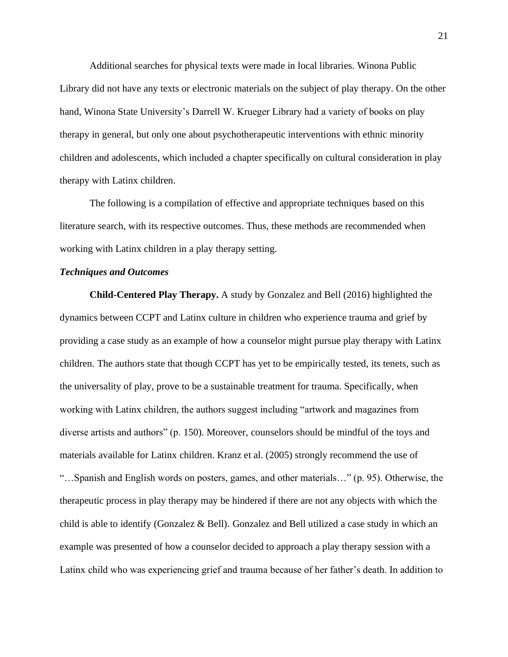Additional searches for physical texts were made in local libraries. Winona Public Library did not have any texts or electronic materials on the subject of play therapy. On the other hand, Winona State University's Darrell W. Krueger Library had a variety of books on play therapy in general, but only one about psychotherapeutic interventions with ethnic minority children and adolescents, which included a chapter specifically on cultural consideration in play therapy with Latinx children.

The following is a compilation of effective and appropriate techniques based on this literature search, with its respective outcomes. Thus, these methods are recommended when working with Latinx children in a play therapy setting.

# *Techniques and Outcomes*

**Child-Centered Play Therapy.** A study by Gonzalez and Bell (2016) highlighted the dynamics between CCPT and Latinx culture in children who experience trauma and grief by providing a case study as an example of how a counselor might pursue play therapy with Latinx children. The authors state that though CCPT has yet to be empirically tested, its tenets, such as the universality of play, prove to be a sustainable treatment for trauma. Specifically, when working with Latinx children, the authors suggest including "artwork and magazines from diverse artists and authors" (p. 150). Moreover, counselors should be mindful of the toys and materials available for Latinx children. Kranz et al. (2005) strongly recommend the use of "…Spanish and English words on posters, games, and other materials…" (p. 95). Otherwise, the therapeutic process in play therapy may be hindered if there are not any objects with which the child is able to identify (Gonzalez & Bell). Gonzalez and Bell utilized a case study in which an example was presented of how a counselor decided to approach a play therapy session with a Latinx child who was experiencing grief and trauma because of her father's death. In addition to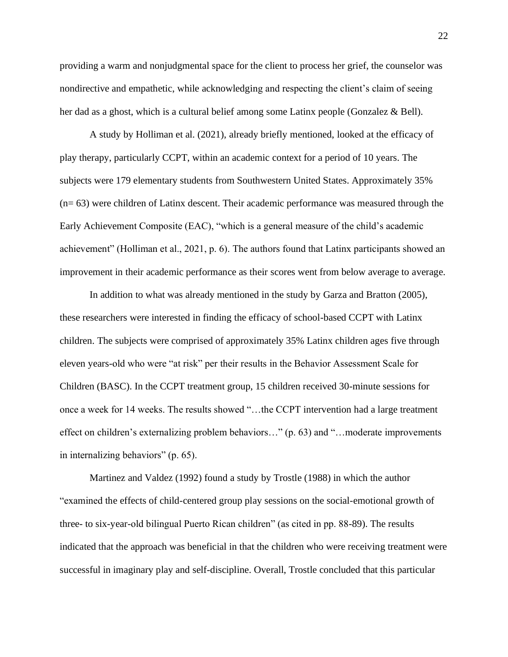providing a warm and nonjudgmental space for the client to process her grief, the counselor was nondirective and empathetic, while acknowledging and respecting the client's claim of seeing her dad as a ghost, which is a cultural belief among some Latinx people (Gonzalez & Bell).

A study by Holliman et al. (2021), already briefly mentioned, looked at the efficacy of play therapy, particularly CCPT, within an academic context for a period of 10 years. The subjects were 179 elementary students from Southwestern United States. Approximately 35% (n= 63) were children of Latinx descent. Their academic performance was measured through the Early Achievement Composite (EAC), "which is a general measure of the child's academic achievement" (Holliman et al., 2021, p. 6). The authors found that Latinx participants showed an improvement in their academic performance as their scores went from below average to average.

In addition to what was already mentioned in the study by Garza and Bratton (2005), these researchers were interested in finding the efficacy of school-based CCPT with Latinx children. The subjects were comprised of approximately 35% Latinx children ages five through eleven years-old who were "at risk" per their results in the Behavior Assessment Scale for Children (BASC). In the CCPT treatment group, 15 children received 30-minute sessions for once a week for 14 weeks. The results showed "…the CCPT intervention had a large treatment effect on children's externalizing problem behaviors…" (p. 63) and "…moderate improvements in internalizing behaviors" (p. 65).

Martinez and Valdez (1992) found a study by Trostle (1988) in which the author "examined the effects of child-centered group play sessions on the social-emotional growth of three- to six-year-old bilingual Puerto Rican children" (as cited in pp. 88-89). The results indicated that the approach was beneficial in that the children who were receiving treatment were successful in imaginary play and self-discipline. Overall, Trostle concluded that this particular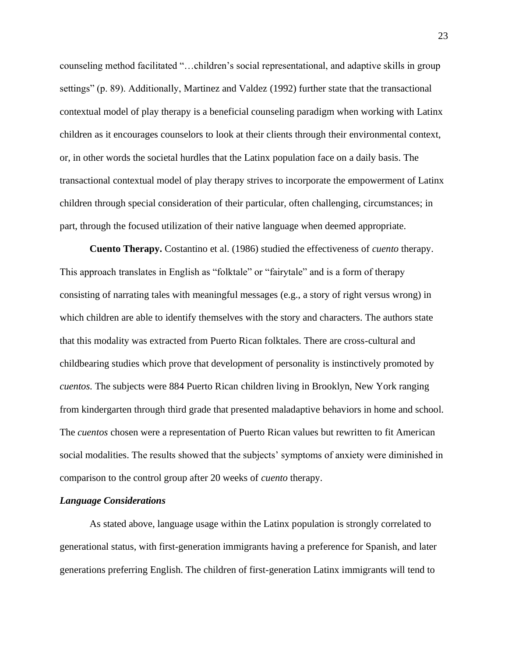counseling method facilitated "…children's social representational, and adaptive skills in group settings" (p. 89). Additionally, Martinez and Valdez (1992) further state that the transactional contextual model of play therapy is a beneficial counseling paradigm when working with Latinx children as it encourages counselors to look at their clients through their environmental context, or, in other words the societal hurdles that the Latinx population face on a daily basis. The transactional contextual model of play therapy strives to incorporate the empowerment of Latinx children through special consideration of their particular, often challenging, circumstances; in part, through the focused utilization of their native language when deemed appropriate.

**Cuento Therapy.** Costantino et al. (1986) studied the effectiveness of *cuento* therapy. This approach translates in English as "folktale" or "fairytale" and is a form of therapy consisting of narrating tales with meaningful messages (e.g., a story of right versus wrong) in which children are able to identify themselves with the story and characters. The authors state that this modality was extracted from Puerto Rican folktales. There are cross-cultural and childbearing studies which prove that development of personality is instinctively promoted by *cuentos.* The subjects were 884 Puerto Rican children living in Brooklyn, New York ranging from kindergarten through third grade that presented maladaptive behaviors in home and school. The *cuentos* chosen were a representation of Puerto Rican values but rewritten to fit American social modalities. The results showed that the subjects' symptoms of anxiety were diminished in comparison to the control group after 20 weeks of *cuento* therapy.

#### *Language Considerations*

As stated above, language usage within the Latinx population is strongly correlated to generational status, with first-generation immigrants having a preference for Spanish, and later generations preferring English. The children of first-generation Latinx immigrants will tend to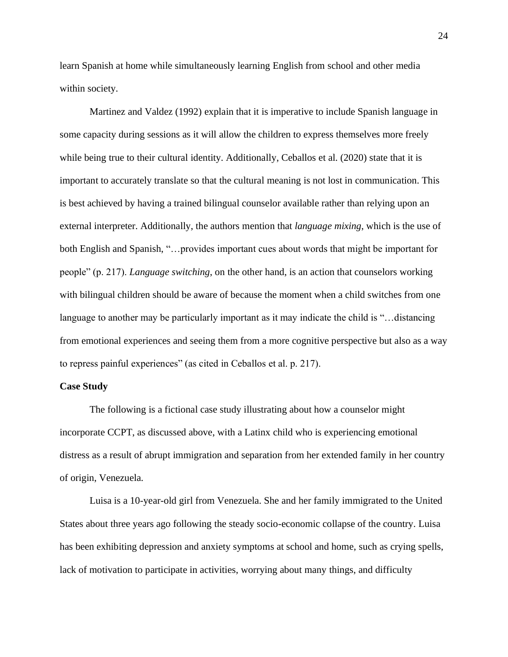learn Spanish at home while simultaneously learning English from school and other media within society.

Martinez and Valdez (1992) explain that it is imperative to include Spanish language in some capacity during sessions as it will allow the children to express themselves more freely while being true to their cultural identity. Additionally, Ceballos et al. (2020) state that it is important to accurately translate so that the cultural meaning is not lost in communication. This is best achieved by having a trained bilingual counselor available rather than relying upon an external interpreter. Additionally, the authors mention that *language mixing*, which is the use of both English and Spanish, "…provides important cues about words that might be important for people" (p. 217). *Language switching*, on the other hand, is an action that counselors working with bilingual children should be aware of because the moment when a child switches from one language to another may be particularly important as it may indicate the child is "...distancing from emotional experiences and seeing them from a more cognitive perspective but also as a way to repress painful experiences" (as cited in Ceballos et al. p. 217).

# **Case Study**

The following is a fictional case study illustrating about how a counselor might incorporate CCPT, as discussed above, with a Latinx child who is experiencing emotional distress as a result of abrupt immigration and separation from her extended family in her country of origin, Venezuela.

Luisa is a 10-year-old girl from Venezuela. She and her family immigrated to the United States about three years ago following the steady socio-economic collapse of the country. Luisa has been exhibiting depression and anxiety symptoms at school and home, such as crying spells, lack of motivation to participate in activities, worrying about many things, and difficulty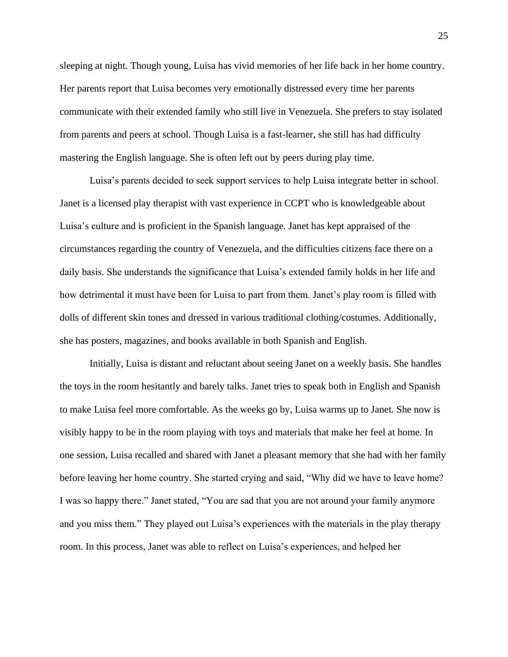sleeping at night. Though young, Luisa has vivid memories of her life back in her home country. Her parents report that Luisa becomes very emotionally distressed every time her parents communicate with their extended family who still live in Venezuela. She prefers to stay isolated from parents and peers at school. Though Luisa is a fast-learner, she still has had difficulty mastering the English language. She is often left out by peers during play time.

Luisa's parents decided to seek support services to help Luisa integrate better in school. Janet is a licensed play therapist with vast experience in CCPT who is knowledgeable about Luisa's culture and is proficient in the Spanish language. Janet has kept appraised of the circumstances regarding the country of Venezuela, and the difficulties citizens face there on a daily basis. She understands the significance that Luisa's extended family holds in her life and how detrimental it must have been for Luisa to part from them. Janet's play room is filled with dolls of different skin tones and dressed in various traditional clothing/costumes. Additionally, she has posters, magazines, and books available in both Spanish and English.

Initially, Luisa is distant and reluctant about seeing Janet on a weekly basis. She handles the toys in the room hesitantly and barely talks. Janet tries to speak both in English and Spanish to make Luisa feel more comfortable. As the weeks go by, Luisa warms up to Janet. She now is visibly happy to be in the room playing with toys and materials that make her feel at home. In one session, Luisa recalled and shared with Janet a pleasant memory that she had with her family before leaving her home country. She started crying and said, "Why did we have to leave home? I was so happy there." Janet stated, "You are sad that you are not around your family anymore and you miss them." They played out Luisa's experiences with the materials in the play therapy room. In this process, Janet was able to reflect on Luisa's experiences, and helped her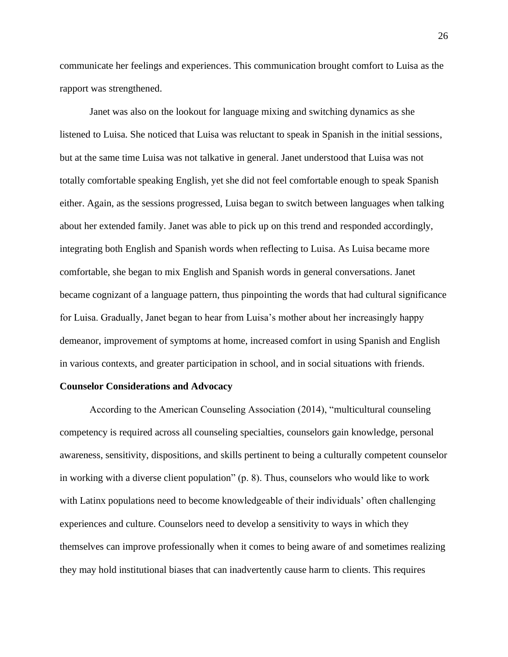communicate her feelings and experiences. This communication brought comfort to Luisa as the rapport was strengthened.

Janet was also on the lookout for language mixing and switching dynamics as she listened to Luisa. She noticed that Luisa was reluctant to speak in Spanish in the initial sessions, but at the same time Luisa was not talkative in general. Janet understood that Luisa was not totally comfortable speaking English, yet she did not feel comfortable enough to speak Spanish either. Again, as the sessions progressed, Luisa began to switch between languages when talking about her extended family. Janet was able to pick up on this trend and responded accordingly, integrating both English and Spanish words when reflecting to Luisa. As Luisa became more comfortable, she began to mix English and Spanish words in general conversations. Janet became cognizant of a language pattern, thus pinpointing the words that had cultural significance for Luisa. Gradually, Janet began to hear from Luisa's mother about her increasingly happy demeanor, improvement of symptoms at home, increased comfort in using Spanish and English in various contexts, and greater participation in school, and in social situations with friends.

#### **Counselor Considerations and Advocacy**

According to the American Counseling Association (2014), "multicultural counseling competency is required across all counseling specialties, counselors gain knowledge, personal awareness, sensitivity, dispositions, and skills pertinent to being a culturally competent counselor in working with a diverse client population" (p. 8). Thus, counselors who would like to work with Latinx populations need to become knowledgeable of their individuals' often challenging experiences and culture. Counselors need to develop a sensitivity to ways in which they themselves can improve professionally when it comes to being aware of and sometimes realizing they may hold institutional biases that can inadvertently cause harm to clients. This requires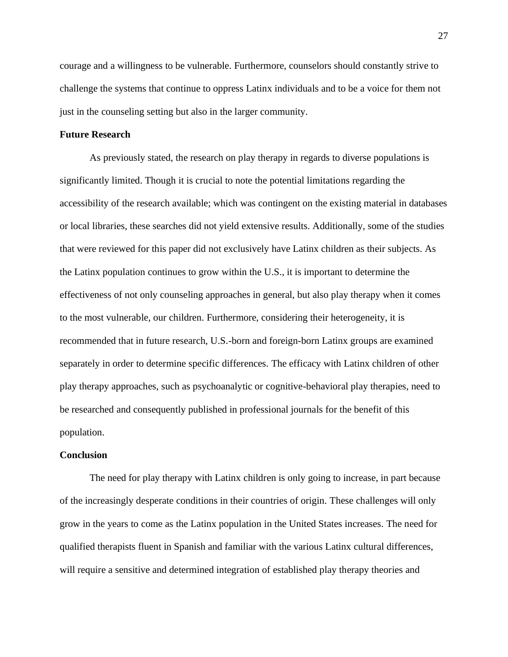courage and a willingness to be vulnerable. Furthermore, counselors should constantly strive to challenge the systems that continue to oppress Latinx individuals and to be a voice for them not just in the counseling setting but also in the larger community.

# **Future Research**

As previously stated, the research on play therapy in regards to diverse populations is significantly limited. Though it is crucial to note the potential limitations regarding the accessibility of the research available; which was contingent on the existing material in databases or local libraries, these searches did not yield extensive results. Additionally, some of the studies that were reviewed for this paper did not exclusively have Latinx children as their subjects. As the Latinx population continues to grow within the U.S., it is important to determine the effectiveness of not only counseling approaches in general, but also play therapy when it comes to the most vulnerable, our children. Furthermore, considering their heterogeneity, it is recommended that in future research, U.S.-born and foreign-born Latinx groups are examined separately in order to determine specific differences. The efficacy with Latinx children of other play therapy approaches, such as psychoanalytic or cognitive-behavioral play therapies, need to be researched and consequently published in professional journals for the benefit of this population.

# **Conclusion**

The need for play therapy with Latinx children is only going to increase, in part because of the increasingly desperate conditions in their countries of origin. These challenges will only grow in the years to come as the Latinx population in the United States increases. The need for qualified therapists fluent in Spanish and familiar with the various Latinx cultural differences, will require a sensitive and determined integration of established play therapy theories and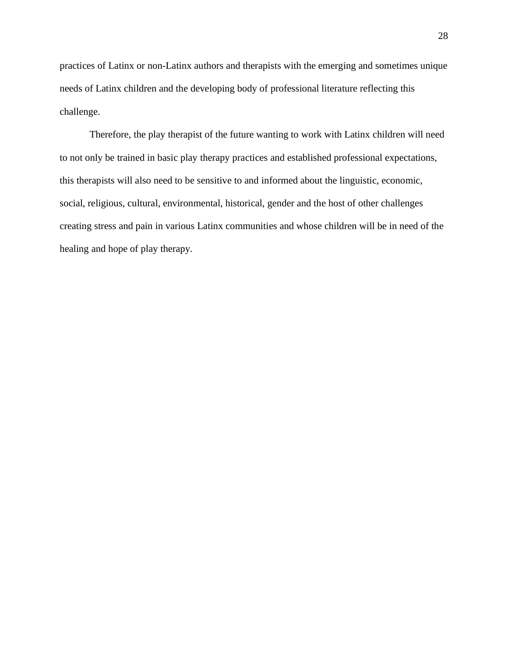practices of Latinx or non-Latinx authors and therapists with the emerging and sometimes unique needs of Latinx children and the developing body of professional literature reflecting this challenge.

Therefore, the play therapist of the future wanting to work with Latinx children will need to not only be trained in basic play therapy practices and established professional expectations, this therapists will also need to be sensitive to and informed about the linguistic, economic, social, religious, cultural, environmental, historical, gender and the host of other challenges creating stress and pain in various Latinx communities and whose children will be in need of the healing and hope of play therapy.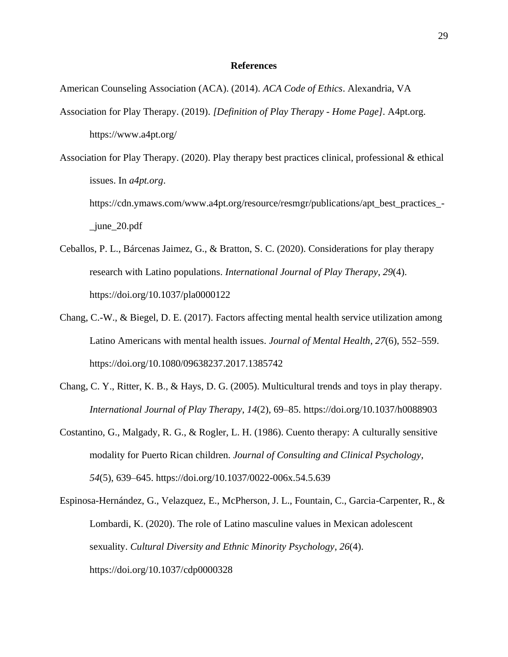# **References**

American Counseling Association (ACA). (2014). *ACA Code of Ethics*. Alexandria, VA

Association for Play Therapy. (2019). *[Definition of Play Therapy - Home Page]*. A4pt.org. https://www.a4pt.org/

Association for Play Therapy. (2020). Play therapy best practices clinical, professional & ethical issues. In *a4pt.org*. https://cdn.ymaws.com/www.a4pt.org/resource/resmgr/publications/apt\_best\_practices\_- \_june\_20.pdf

- Ceballos, P. L., Bárcenas Jaimez, G., & Bratton, S. C. (2020). Considerations for play therapy research with Latino populations. *International Journal of Play Therapy*, *29*(4). https://doi.org/10.1037/pla0000122
- Chang, C.-W., & Biegel, D. E. (2017). Factors affecting mental health service utilization among Latino Americans with mental health issues. *Journal of Mental Health*, *27*(6), 552–559. https://doi.org/10.1080/09638237.2017.1385742
- Chang, C. Y., Ritter, K. B., & Hays, D. G. (2005). Multicultural trends and toys in play therapy. *International Journal of Play Therapy*, *14*(2), 69–85. https://doi.org/10.1037/h0088903
- Costantino, G., Malgady, R. G., & Rogler, L. H. (1986). Cuento therapy: A culturally sensitive modality for Puerto Rican children. *Journal of Consulting and Clinical Psychology*, *54*(5), 639–645. https://doi.org/10.1037/0022-006x.54.5.639

Espinosa-Hernández, G., Velazquez, E., McPherson, J. L., Fountain, C., Garcia-Carpenter, R., & Lombardi, K. (2020). The role of Latino masculine values in Mexican adolescent sexuality. *Cultural Diversity and Ethnic Minority Psychology*, *26*(4). https://doi.org/10.1037/cdp0000328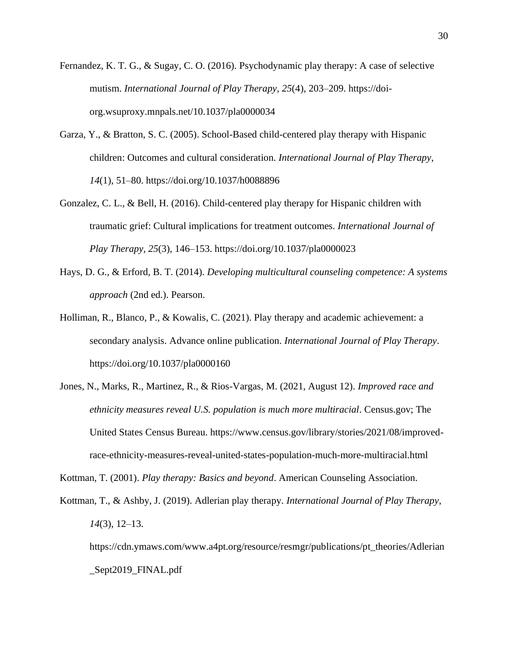- Fernandez, K. T. G., & Sugay, C. O. (2016). Psychodynamic play therapy: A case of selective mutism. *International Journal of Play Therapy*, *25*(4), 203–209. https://doiorg.wsuproxy.mnpals.net/10.1037/pla0000034
- Garza, Y., & Bratton, S. C. (2005). School-Based child-centered play therapy with Hispanic children: Outcomes and cultural consideration. *International Journal of Play Therapy*, *14*(1), 51–80. https://doi.org/10.1037/h0088896
- Gonzalez, C. L., & Bell, H. (2016). Child-centered play therapy for Hispanic children with traumatic grief: Cultural implications for treatment outcomes. *International Journal of Play Therapy*, *25*(3), 146–153. https://doi.org/10.1037/pla0000023
- Hays, D. G., & Erford, B. T. (2014). *Developing multicultural counseling competence: A systems approach* (2nd ed.). Pearson.
- Holliman, R., Blanco, P., & Kowalis, C. (2021). Play therapy and academic achievement: a secondary analysis. Advance online publication. *International Journal of Play Therapy*. https://doi.org/10.1037/pla0000160
- Jones, N., Marks, R., Martinez, R., & Rios-Vargas, M. (2021, August 12). *Improved race and ethnicity measures reveal U.S. population is much more multiracial*. Census.gov; The United States Census Bureau. https://www.census.gov/library/stories/2021/08/improvedrace-ethnicity-measures-reveal-united-states-population-much-more-multiracial.html

Kottman, T. (2001). *Play therapy: Basics and beyond*. American Counseling Association.

Kottman, T., & Ashby, J. (2019). Adlerian play therapy. *International Journal of Play Therapy*, *14*(3), 12–13.

https://cdn.ymaws.com/www.a4pt.org/resource/resmgr/publications/pt\_theories/Adlerian \_Sept2019\_FINAL.pdf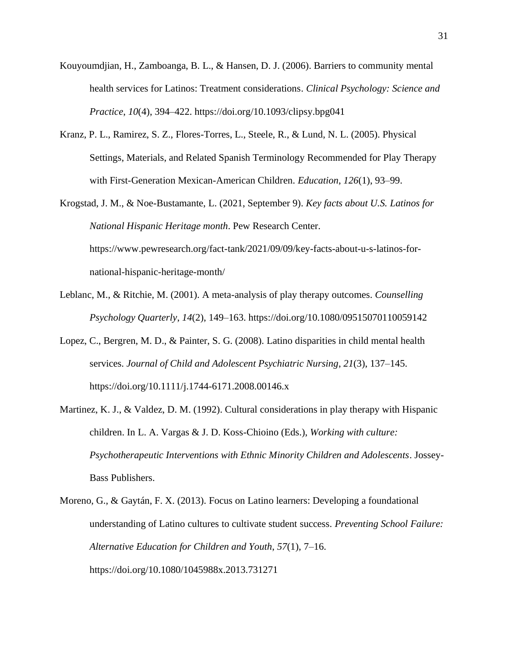- Kouyoumdjian, H., Zamboanga, B. L., & Hansen, D. J. (2006). Barriers to community mental health services for Latinos: Treatment considerations. *Clinical Psychology: Science and Practice*, *10*(4), 394–422. https://doi.org/10.1093/clipsy.bpg041
- Kranz, P. L., Ramirez, S. Z., Flores-Torres, L., Steele, R., & Lund, N. L. (2005). Physical Settings, Materials, and Related Spanish Terminology Recommended for Play Therapy with First-Generation Mexican-American Children. *Education*, *126*(1), 93–99.

Krogstad, J. M., & Noe-Bustamante, L. (2021, September 9). *Key facts about U.S. Latinos for National Hispanic Heritage month*. Pew Research Center. https://www.pewresearch.org/fact-tank/2021/09/09/key-facts-about-u-s-latinos-fornational-hispanic-heritage-month/

- Leblanc, M., & Ritchie, M. (2001). A meta-analysis of play therapy outcomes. *Counselling Psychology Quarterly*, *14*(2), 149–163. https://doi.org/10.1080/09515070110059142
- Lopez, C., Bergren, M. D., & Painter, S. G. (2008). Latino disparities in child mental health services. *Journal of Child and Adolescent Psychiatric Nursing*, *21*(3), 137–145. https://doi.org/10.1111/j.1744-6171.2008.00146.x
- Martinez, K. J., & Valdez, D. M. (1992). Cultural considerations in play therapy with Hispanic children. In L. A. Vargas & J. D. Koss-Chioino (Eds.), *Working with culture: Psychotherapeutic Interventions with Ethnic Minority Children and Adolescents*. Jossey-Bass Publishers.
- Moreno, G., & Gaytán, F. X. (2013). Focus on Latino learners: Developing a foundational understanding of Latino cultures to cultivate student success. *Preventing School Failure: Alternative Education for Children and Youth*, *57*(1), 7–16. https://doi.org/10.1080/1045988x.2013.731271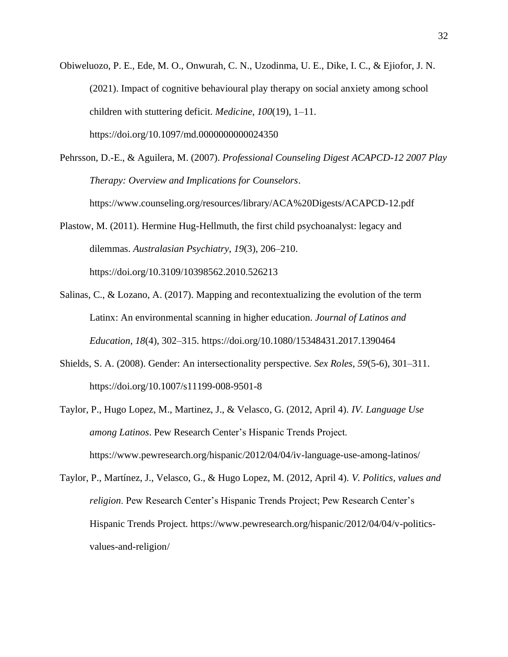Obiweluozo, P. E., Ede, M. O., Onwurah, C. N., Uzodinma, U. E., Dike, I. C., & Ejiofor, J. N. (2021). Impact of cognitive behavioural play therapy on social anxiety among school children with stuttering deficit. *Medicine*, *100*(19), 1–11. https://doi.org/10.1097/md.0000000000024350

Pehrsson, D.-E., & Aguilera, M. (2007). *Professional Counseling Digest ACAPCD-12 2007 Play Therapy: Overview and Implications for Counselors*. https://www.counseling.org/resources/library/ACA%20Digests/ACAPCD-12.pdf

Plastow, M. (2011). Hermine Hug-Hellmuth, the first child psychoanalyst: legacy and dilemmas. *Australasian Psychiatry*, *19*(3), 206–210. https://doi.org/10.3109/10398562.2010.526213

- Salinas, C., & Lozano, A. (2017). Mapping and recontextualizing the evolution of the term Latinx: An environmental scanning in higher education. *Journal of Latinos and Education*, *18*(4), 302–315. https://doi.org/10.1080/15348431.2017.1390464
- Shields, S. A. (2008). Gender: An intersectionality perspective. *Sex Roles*, *59*(5-6), 301–311. https://doi.org/10.1007/s11199-008-9501-8
- Taylor, P., Hugo Lopez, M., Martinez, J., & Velasco, G. (2012, April 4). *IV. Language Use among Latinos*. Pew Research Center's Hispanic Trends Project. https://www.pewresearch.org/hispanic/2012/04/04/iv-language-use-among-latinos/
- Taylor, P., Martínez, J., Velasco, G., & Hugo Lopez, M. (2012, April 4). *V. Politics, values and religion*. Pew Research Center's Hispanic Trends Project; Pew Research Center's Hispanic Trends Project. https://www.pewresearch.org/hispanic/2012/04/04/v-politicsvalues-and-religion/